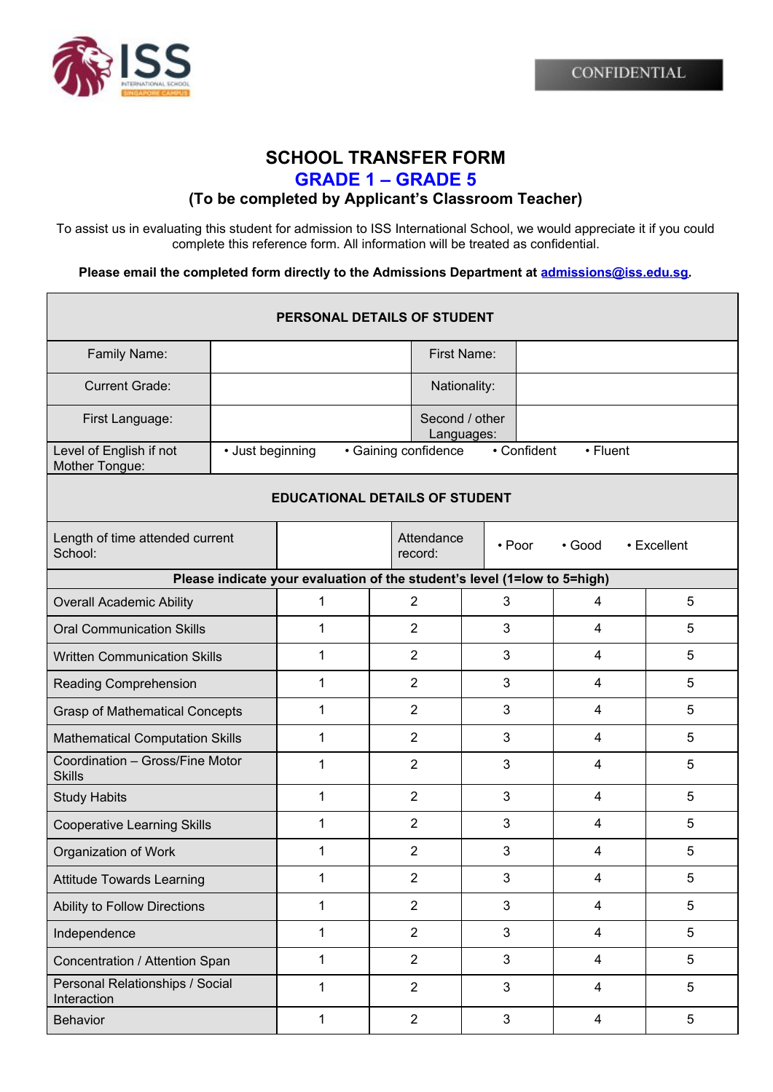



## **SCHOOL TRANSFER FORM GRADE 1 – GRADE 5**

## **(To be completed by Applicant's Classroom Teacher)**

To assist us in evaluating this student for admission to ISS International School, we would appreciate it if you could complete this reference form. All information will be treated as confidential.

**Please email the completed form directly to the Admissions Department at [admissions@iss.edu.sg.](mailto:admissions@iss.edu.sg)**

| PERSONAL DETAILS OF STUDENT                                              |                                          |              |  |                              |             |        |                         |  |             |
|--------------------------------------------------------------------------|------------------------------------------|--------------|--|------------------------------|-------------|--------|-------------------------|--|-------------|
| Family Name:                                                             |                                          |              |  |                              | First Name: |        |                         |  |             |
| <b>Current Grade:</b>                                                    |                                          |              |  | Nationality:                 |             |        |                         |  |             |
| First Language:                                                          |                                          |              |  | Second / other<br>Languages: |             |        |                         |  |             |
| Level of English if not<br>Mother Tongue:                                | • Gaining confidence<br>• Just beginning |              |  | • Confident<br>• Fluent      |             |        |                         |  |             |
| <b>EDUCATIONAL DETAILS OF STUDENT</b>                                    |                                          |              |  |                              |             |        |                         |  |             |
| Length of time attended current<br>School:                               |                                          |              |  | Attendance<br>record:        |             | • Poor | • Good                  |  | • Excellent |
| Please indicate your evaluation of the student's level (1=low to 5=high) |                                          |              |  |                              |             |        |                         |  |             |
| <b>Overall Academic Ability</b>                                          |                                          | 1            |  | $\overline{2}$               |             | 3      | 4                       |  | 5           |
| <b>Oral Communication Skills</b>                                         |                                          | 1            |  | $\overline{2}$<br>3          |             |        | 4                       |  | 5           |
| <b>Written Communication Skills</b>                                      |                                          | 1            |  | $\overline{2}$               |             | 3      | 4                       |  | 5           |
| Reading Comprehension                                                    |                                          | 1            |  | $\overline{2}$               | 3           |        | 4                       |  | 5           |
| <b>Grasp of Mathematical Concepts</b>                                    |                                          | 1            |  | $\overline{2}$               | 3           |        | 4                       |  | 5           |
| <b>Mathematical Computation Skills</b>                                   |                                          | 1            |  | $\overline{2}$               | 3           |        | 4                       |  | 5           |
| Coordination - Gross/Fine Motor<br><b>Skills</b>                         |                                          | 1            |  | $\overline{2}$               | 3           |        | 4                       |  | 5           |
| <b>Study Habits</b>                                                      |                                          | 1            |  | $\overline{2}$               | 3           |        | $\overline{4}$          |  | 5           |
| <b>Cooperative Learning Skills</b>                                       |                                          | 1            |  | $\overline{2}$               | 3           |        | $\overline{4}$          |  | 5           |
| Organization of Work                                                     |                                          | 1            |  | $\overline{2}$               | 3           |        | 4                       |  | 5           |
| <b>Attitude Towards Learning</b>                                         |                                          | 1            |  | $\overline{2}$               | 3           |        | $\overline{\mathbf{4}}$ |  | 5           |
| Ability to Follow Directions                                             |                                          | $\mathbf{1}$ |  | $\overline{2}$               | 3           |        | 4                       |  | 5           |
| Independence                                                             |                                          | $\mathbf{1}$ |  | $\overline{2}$               |             | 3      | 4                       |  | 5           |
| Concentration / Attention Span                                           |                                          | $\mathbf{1}$ |  | $\overline{2}$               |             | 3      | 4                       |  | 5           |
| Personal Relationships / Social<br>Interaction                           |                                          | $\mathbf{1}$ |  | $\overline{2}$<br>3          |             |        | $\overline{4}$          |  | 5           |
| <b>Behavior</b>                                                          |                                          | $\mathbf{1}$ |  | $\overline{2}$               |             | 3      | $\overline{4}$          |  | 5           |